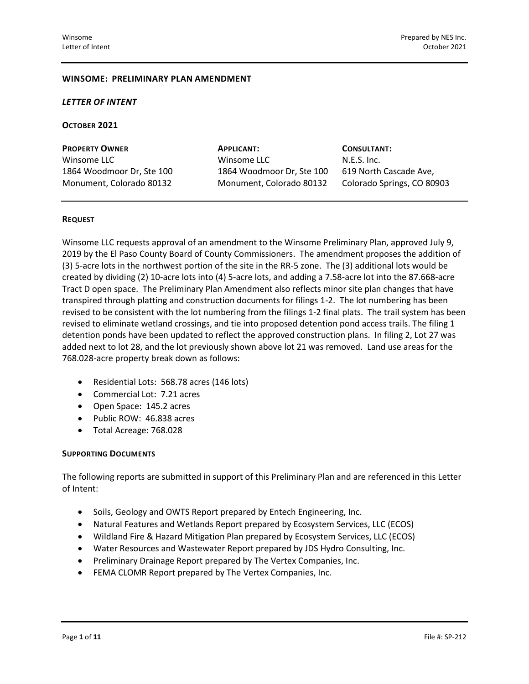#### **WINSOME: PRELIMINARY PLAN AMENDMENT**

#### *LETTER OF INTENT*

#### **OCTOBER 2021**

| <b>PROPERTY OWNER</b>     |  |
|---------------------------|--|
| Winsome LLC               |  |
| 1864 Woodmoor Dr, Ste 100 |  |
| Monument, Colorado 80132  |  |

**PROPERTY OWNER APPLICANT: CONSULTANT:** Winsome LLC N.E.S. Inc. 1864 Woodmoor Dr, Ste 100 619 North Cascade Ave, Monument, Colorado 80132 Colorado Springs, CO 80903

#### **REQUEST**

Winsome LLC requests approval of an amendment to the Winsome Preliminary Plan, approved July 9, 2019 by the El Paso County Board of County Commissioners. The amendment proposes the addition of (3) 5-acre lots in the northwest portion of the site in the RR-5 zone. The (3) additional lots would be created by dividing (2) 10-acre lots into (4) 5-acre lots, and adding a 7.58-acre lot into the 87.668-acre Tract D open space. The Preliminary Plan Amendment also reflects minor site plan changes that have transpired through platting and construction documents for filings 1-2. The lot numbering has been revised to be consistent with the lot numbering from the filings 1-2 final plats. The trail system has been revised to eliminate wetland crossings, and tie into proposed detention pond access trails. The filing 1 detention ponds have been updated to reflect the approved construction plans. In filing 2, Lot 27 was added next to lot 28, and the lot previously shown above lot 21 was removed. Land use areas for the 768.028-acre property break down as follows:

- Residential Lots: 568.78 acres (146 lots)
- Commercial Lot: 7.21 acres
- Open Space: 145.2 acres
- Public ROW: 46.838 acres
- Total Acreage: 768.028

#### **SUPPORTING DOCUMENTS**

The following reports are submitted in support of this Preliminary Plan and are referenced in this Letter of Intent:

- Soils, Geology and OWTS Report prepared by Entech Engineering, Inc.
- Natural Features and Wetlands Report prepared by Ecosystem Services, LLC (ECOS)
- Wildland Fire & Hazard Mitigation Plan prepared by Ecosystem Services, LLC (ECOS)
- Water Resources and Wastewater Report prepared by JDS Hydro Consulting, Inc.
- Preliminary Drainage Report prepared by The Vertex Companies, Inc.
- FEMA CLOMR Report prepared by The Vertex Companies, Inc.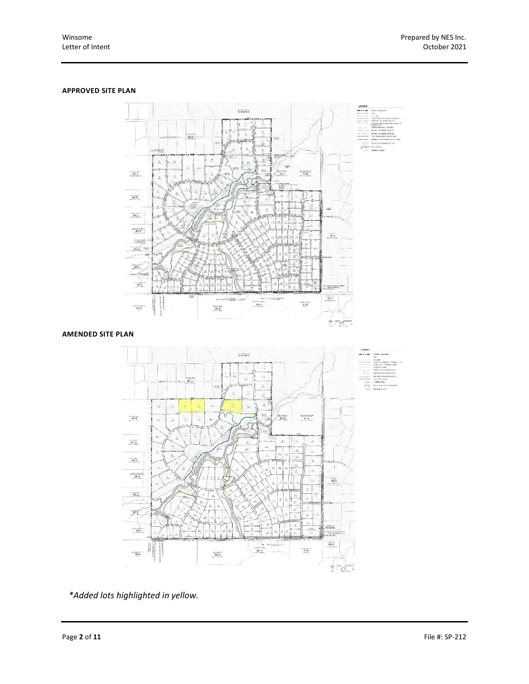#### **APPROVED SITE PLAN**



### **AMENDED SITE PLAN**



*\*Added lots highlighted in yellow.*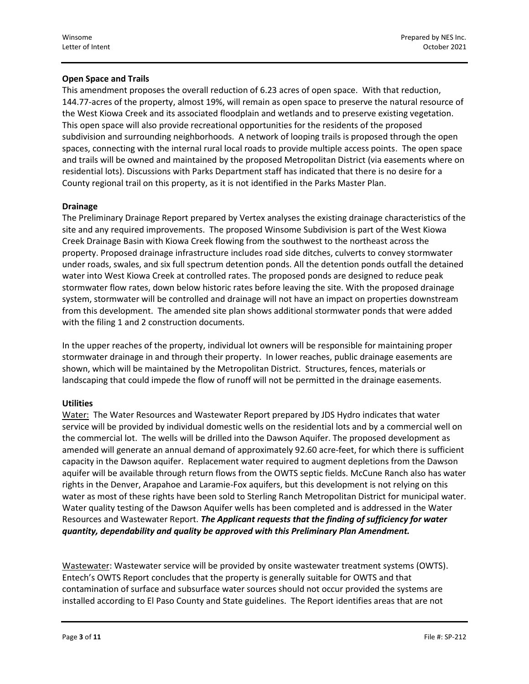### **Open Space and Trails**

This amendment proposes the overall reduction of 6.23 acres of open space. With that reduction, 144.77-acres of the property, almost 19%, will remain as open space to preserve the natural resource of the West Kiowa Creek and its associated floodplain and wetlands and to preserve existing vegetation. This open space will also provide recreational opportunities for the residents of the proposed subdivision and surrounding neighborhoods. A network of looping trails is proposed through the open spaces, connecting with the internal rural local roads to provide multiple access points. The open space and trails will be owned and maintained by the proposed Metropolitan District (via easements where on residential lots). Discussions with Parks Department staff has indicated that there is no desire for a County regional trail on this property, as it is not identified in the Parks Master Plan.

### **Drainage**

The Preliminary Drainage Report prepared by Vertex analyses the existing drainage characteristics of the site and any required improvements. The proposed Winsome Subdivision is part of the West Kiowa Creek Drainage Basin with Kiowa Creek flowing from the southwest to the northeast across the property. Proposed drainage infrastructure includes road side ditches, culverts to convey stormwater under roads, swales, and six full spectrum detention ponds. All the detention ponds outfall the detained water into West Kiowa Creek at controlled rates. The proposed ponds are designed to reduce peak stormwater flow rates, down below historic rates before leaving the site. With the proposed drainage system, stormwater will be controlled and drainage will not have an impact on properties downstream from this development. The amended site plan shows additional stormwater ponds that were added with the filing 1 and 2 construction documents.

In the upper reaches of the property, individual lot owners will be responsible for maintaining proper stormwater drainage in and through their property. In lower reaches, public drainage easements are shown, which will be maintained by the Metropolitan District. Structures, fences, materials or landscaping that could impede the flow of runoff will not be permitted in the drainage easements.

### **Utilities**

Water: The Water Resources and Wastewater Report prepared by JDS Hydro indicates that water service will be provided by individual domestic wells on the residential lots and by a commercial well on the commercial lot. The wells will be drilled into the Dawson Aquifer. The proposed development as amended will generate an annual demand of approximately 92.60 acre-feet, for which there is sufficient capacity in the Dawson aquifer. Replacement water required to augment depletions from the Dawson aquifer will be available through return flows from the OWTS septic fields. McCune Ranch also has water rights in the Denver, Arapahoe and Laramie-Fox aquifers, but this development is not relying on this water as most of these rights have been sold to Sterling Ranch Metropolitan District for municipal water. Water quality testing of the Dawson Aquifer wells has been completed and is addressed in the Water Resources and Wastewater Report. *The Applicant requests that the finding of sufficiency for water quantity, dependability and quality be approved with this Preliminary Plan Amendment.*

Wastewater: Wastewater service will be provided by onsite wastewater treatment systems (OWTS). Entech's OWTS Report concludes that the property is generally suitable for OWTS and that contamination of surface and subsurface water sources should not occur provided the systems are installed according to El Paso County and State guidelines. The Report identifies areas that are not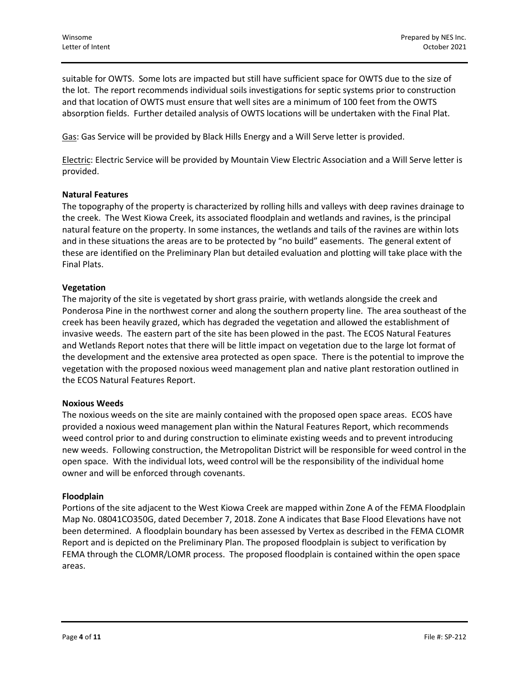suitable for OWTS. Some lots are impacted but still have sufficient space for OWTS due to the size of the lot. The report recommends individual soils investigations for septic systems prior to construction and that location of OWTS must ensure that well sites are a minimum of 100 feet from the OWTS absorption fields. Further detailed analysis of OWTS locations will be undertaken with the Final Plat.

Gas: Gas Service will be provided by Black Hills Energy and a Will Serve letter is provided.

Electric: Electric Service will be provided by Mountain View Electric Association and a Will Serve letter is provided.

#### **Natural Features**

The topography of the property is characterized by rolling hills and valleys with deep ravines drainage to the creek. The West Kiowa Creek, its associated floodplain and wetlands and ravines, is the principal natural feature on the property. In some instances, the wetlands and tails of the ravines are within lots and in these situations the areas are to be protected by "no build" easements. The general extent of these are identified on the Preliminary Plan but detailed evaluation and plotting will take place with the Final Plats.

#### **Vegetation**

The majority of the site is vegetated by short grass prairie, with wetlands alongside the creek and Ponderosa Pine in the northwest corner and along the southern property line. The area southeast of the creek has been heavily grazed, which has degraded the vegetation and allowed the establishment of invasive weeds. The eastern part of the site has been plowed in the past. The ECOS Natural Features and Wetlands Report notes that there will be little impact on vegetation due to the large lot format of the development and the extensive area protected as open space. There is the potential to improve the vegetation with the proposed noxious weed management plan and native plant restoration outlined in the ECOS Natural Features Report.

#### **Noxious Weeds**

The noxious weeds on the site are mainly contained with the proposed open space areas. ECOS have provided a noxious weed management plan within the Natural Features Report, which recommends weed control prior to and during construction to eliminate existing weeds and to prevent introducing new weeds. Following construction, the Metropolitan District will be responsible for weed control in the open space. With the individual lots, weed control will be the responsibility of the individual home owner and will be enforced through covenants.

#### **Floodplain**

Portions of the site adjacent to the West Kiowa Creek are mapped within Zone A of the FEMA Floodplain Map No. 08041CO350G, dated December 7, 2018. Zone A indicates that Base Flood Elevations have not been determined. A floodplain boundary has been assessed by Vertex as described in the FEMA CLOMR Report and is depicted on the Preliminary Plan. The proposed floodplain is subject to verification by FEMA through the CLOMR/LOMR process. The proposed floodplain is contained within the open space areas.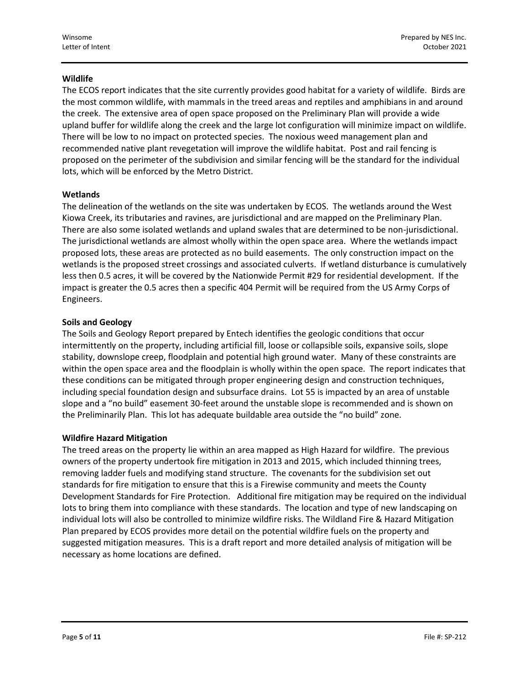### **Wildlife**

The ECOS report indicates that the site currently provides good habitat for a variety of wildlife. Birds are the most common wildlife, with mammals in the treed areas and reptiles and amphibians in and around the creek. The extensive area of open space proposed on the Preliminary Plan will provide a wide upland buffer for wildlife along the creek and the large lot configuration will minimize impact on wildlife. There will be low to no impact on protected species. The noxious weed management plan and recommended native plant revegetation will improve the wildlife habitat. Post and rail fencing is proposed on the perimeter of the subdivision and similar fencing will be the standard for the individual lots, which will be enforced by the Metro District.

### **Wetlands**

The delineation of the wetlands on the site was undertaken by ECOS. The wetlands around the West Kiowa Creek, its tributaries and ravines, are jurisdictional and are mapped on the Preliminary Plan. There are also some isolated wetlands and upland swales that are determined to be non-jurisdictional. The jurisdictional wetlands are almost wholly within the open space area. Where the wetlands impact proposed lots, these areas are protected as no build easements. The only construction impact on the wetlands is the proposed street crossings and associated culverts. If wetland disturbance is cumulatively less then 0.5 acres, it will be covered by the Nationwide Permit #29 for residential development. If the impact is greater the 0.5 acres then a specific 404 Permit will be required from the US Army Corps of Engineers.

### **Soils and Geology**

The Soils and Geology Report prepared by Entech identifies the geologic conditions that occur intermittently on the property, including artificial fill, loose or collapsible soils, expansive soils, slope stability, downslope creep, floodplain and potential high ground water. Many of these constraints are within the open space area and the floodplain is wholly within the open space. The report indicates that these conditions can be mitigated through proper engineering design and construction techniques, including special foundation design and subsurface drains. Lot 55 is impacted by an area of unstable slope and a "no build" easement 30-feet around the unstable slope is recommended and is shown on the Preliminarily Plan. This lot has adequate buildable area outside the "no build" zone.

#### **Wildfire Hazard Mitigation**

The treed areas on the property lie within an area mapped as High Hazard for wildfire. The previous owners of the property undertook fire mitigation in 2013 and 2015, which included thinning trees, removing ladder fuels and modifying stand structure. The covenants for the subdivision set out standards for fire mitigation to ensure that this is a Firewise community and meets the County Development Standards for Fire Protection. Additional fire mitigation may be required on the individual lots to bring them into compliance with these standards. The location and type of new landscaping on individual lots will also be controlled to minimize wildfire risks. The Wildland Fire & Hazard Mitigation Plan prepared by ECOS provides more detail on the potential wildfire fuels on the property and suggested mitigation measures. This is a draft report and more detailed analysis of mitigation will be necessary as home locations are defined.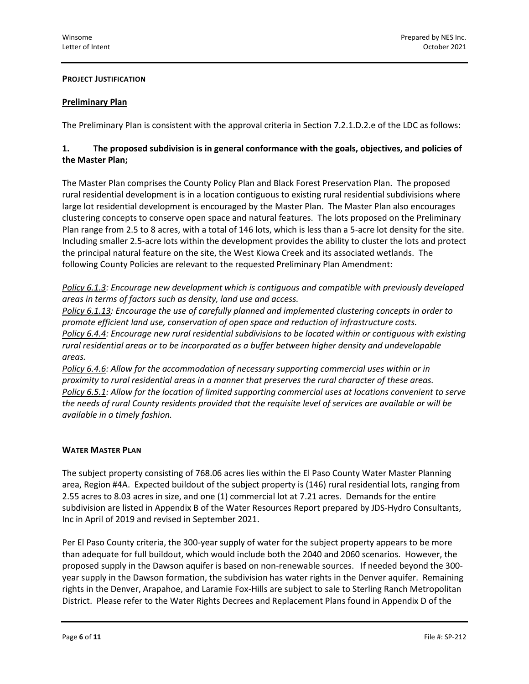### **PROJECT JUSTIFICATION**

### **Preliminary Plan**

The Preliminary Plan is consistent with the approval criteria in Section 7.2.1.D.2.e of the LDC as follows:

### **1. The proposed subdivision is in general conformance with the goals, objectives, and policies of the Master Plan;**

The Master Plan comprises the County Policy Plan and Black Forest Preservation Plan. The proposed rural residential development is in a location contiguous to existing rural residential subdivisions where large lot residential development is encouraged by the Master Plan. The Master Plan also encourages clustering concepts to conserve open space and natural features. The lots proposed on the Preliminary Plan range from 2.5 to 8 acres, with a total of 146 lots, which is less than a 5-acre lot density for the site. Including smaller 2.5-acre lots within the development provides the ability to cluster the lots and protect the principal natural feature on the site, the West Kiowa Creek and its associated wetlands. The following County Policies are relevant to the requested Preliminary Plan Amendment:

*Policy 6.1.3: Encourage new development which is contiguous and compatible with previously developed areas in terms of factors such as density, land use and access.*

*Policy 6.1.13: Encourage the use of carefully planned and implemented clustering concepts in order to promote efficient land use, conservation of open space and reduction of infrastructure costs. Policy 6.4.4: Encourage new rural residential subdivisions to be located within or contiguous with existing rural residential areas or to be incorporated as a buffer between higher density and undevelopable areas.* 

*Policy 6.4.6: Allow for the accommodation of necessary supporting commercial uses within or in proximity to rural residential areas in a manner that preserves the rural character of these areas. Policy 6.5.1: Allow for the location of limited supporting commercial uses at locations convenient to serve the needs of rural County residents provided that the requisite level of services are available or will be available in a timely fashion.* 

#### **WATER MASTER PLAN**

The subject property consisting of 768.06 acres lies within the El Paso County Water Master Planning area, Region #4A. Expected buildout of the subject property is (146) rural residential lots, ranging from 2.55 acres to 8.03 acres in size, and one (1) commercial lot at 7.21 acres. Demands for the entire subdivision are listed in Appendix B of the Water Resources Report prepared by JDS-Hydro Consultants, Inc in April of 2019 and revised in September 2021.

Per El Paso County criteria, the 300-year supply of water for the subject property appears to be more than adequate for full buildout, which would include both the 2040 and 2060 scenarios. However, the proposed supply in the Dawson aquifer is based on non-renewable sources. If needed beyond the 300 year supply in the Dawson formation, the subdivision has water rights in the Denver aquifer. Remaining rights in the Denver, Arapahoe, and Laramie Fox-Hills are subject to sale to Sterling Ranch Metropolitan District. Please refer to the Water Rights Decrees and Replacement Plans found in Appendix D of the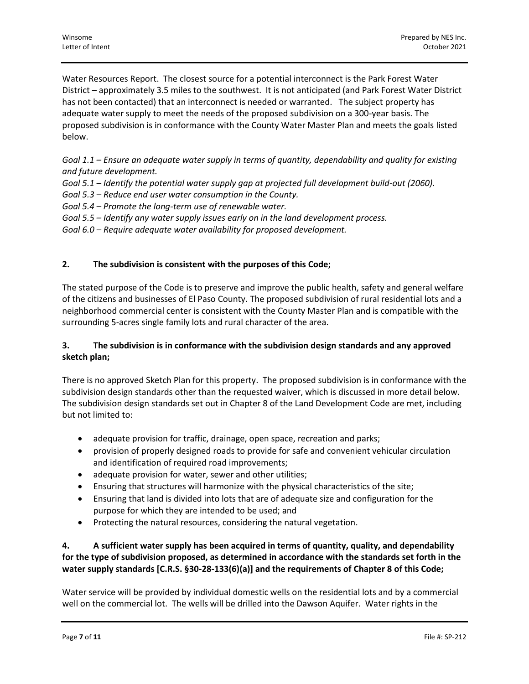Water Resources Report. The closest source for a potential interconnect is the Park Forest Water District – approximately 3.5 miles to the southwest. It is not anticipated (and Park Forest Water District has not been contacted) that an interconnect is needed or warranted. The subject property has adequate water supply to meet the needs of the proposed subdivision on a 300-year basis. The proposed subdivision is in conformance with the County Water Master Plan and meets the goals listed below.

*Goal 1.1 – Ensure an adequate water supply in terms of quantity, dependability and quality for existing and future development.*

*Goal 5.1 – Identify the potential water supply gap at projected full development build-out (2060).* 

*Goal 5.3 – Reduce end user water consumption in the County.*

*Goal 5.4 – Promote the long-term use of renewable water.*

*Goal 5.5 – Identify any water supply issues early on in the land development process.*

*Goal 6.0 – Require adequate water availability for proposed development.* 

### **2. The subdivision is consistent with the purposes of this Code;**

The stated purpose of the Code is to preserve and improve the public health, safety and general welfare of the citizens and businesses of El Paso County. The proposed subdivision of rural residential lots and a neighborhood commercial center is consistent with the County Master Plan and is compatible with the surrounding 5-acres single family lots and rural character of the area.

### **3. The subdivision is in conformance with the subdivision design standards and any approved sketch plan;**

There is no approved Sketch Plan for this property. The proposed subdivision is in conformance with the subdivision design standards other than the requested waiver, which is discussed in more detail below. The subdivision design standards set out in Chapter 8 of the Land Development Code are met, including but not limited to:

- adequate provision for traffic, drainage, open space, recreation and parks;
- provision of properly designed roads to provide for safe and convenient vehicular circulation and identification of required road improvements;
- adequate provision for water, sewer and other utilities;
- Ensuring that structures will harmonize with the physical characteristics of the site;
- Ensuring that land is divided into lots that are of adequate size and configuration for the purpose for which they are intended to be used; and
- Protecting the natural resources, considering the natural vegetation.

## **4. A sufficient water supply has been acquired in terms of quantity, quality, and dependability for the type of subdivision proposed, as determined in accordance with the standards set forth in the water supply standards [C.R.S. §30-28-133(6)(a)] and the requirements of Chapter 8 of this Code;**

Water service will be provided by individual domestic wells on the residential lots and by a commercial well on the commercial lot. The wells will be drilled into the Dawson Aquifer. Water rights in the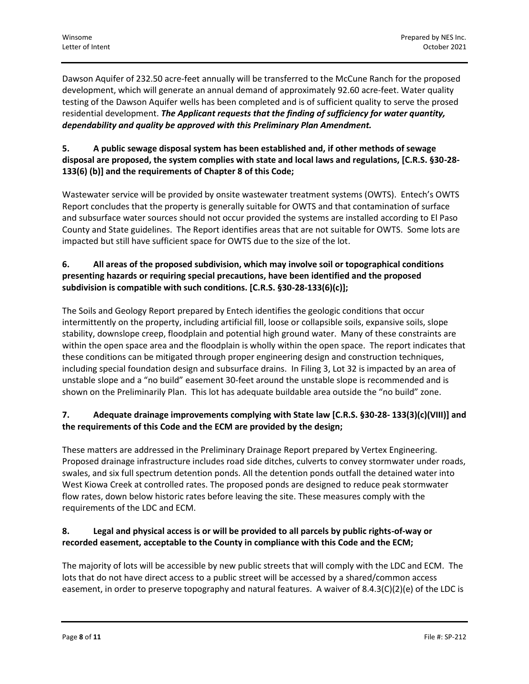Dawson Aquifer of 232.50 acre-feet annually will be transferred to the McCune Ranch for the proposed development, which will generate an annual demand of approximately 92.60 acre-feet. Water quality testing of the Dawson Aquifer wells has been completed and is of sufficient quality to serve the prosed residential development. *The Applicant requests that the finding of sufficiency for water quantity, dependability and quality be approved with this Preliminary Plan Amendment.*

## **5. A public sewage disposal system has been established and, if other methods of sewage disposal are proposed, the system complies with state and local laws and regulations, [C.R.S. §30-28- 133(6) (b)] and the requirements of Chapter 8 of this Code;**

Wastewater service will be provided by onsite wastewater treatment systems (OWTS). Entech's OWTS Report concludes that the property is generally suitable for OWTS and that contamination of surface and subsurface water sources should not occur provided the systems are installed according to El Paso County and State guidelines. The Report identifies areas that are not suitable for OWTS. Some lots are impacted but still have sufficient space for OWTS due to the size of the lot.

## **6. All areas of the proposed subdivision, which may involve soil or topographical conditions presenting hazards or requiring special precautions, have been identified and the proposed subdivision is compatible with such conditions. [C.R.S. §30-28-133(6)(c)];**

The Soils and Geology Report prepared by Entech identifies the geologic conditions that occur intermittently on the property, including artificial fill, loose or collapsible soils, expansive soils, slope stability, downslope creep, floodplain and potential high ground water. Many of these constraints are within the open space area and the floodplain is wholly within the open space. The report indicates that these conditions can be mitigated through proper engineering design and construction techniques, including special foundation design and subsurface drains. In Filing 3, Lot 32 is impacted by an area of unstable slope and a "no build" easement 30-feet around the unstable slope is recommended and is shown on the Preliminarily Plan. This lot has adequate buildable area outside the "no build" zone.

## **7. Adequate drainage improvements complying with State law [C.R.S. §30-28- 133(3)(c)(VIII)] and the requirements of this Code and the ECM are provided by the design;**

These matters are addressed in the Preliminary Drainage Report prepared by Vertex Engineering. Proposed drainage infrastructure includes road side ditches, culverts to convey stormwater under roads, swales, and six full spectrum detention ponds. All the detention ponds outfall the detained water into West Kiowa Creek at controlled rates. The proposed ponds are designed to reduce peak stormwater flow rates, down below historic rates before leaving the site. These measures comply with the requirements of the LDC and ECM.

## **8. Legal and physical access is or will be provided to all parcels by public rights-of-way or recorded easement, acceptable to the County in compliance with this Code and the ECM;**

The majority of lots will be accessible by new public streets that will comply with the LDC and ECM. The lots that do not have direct access to a public street will be accessed by a shared/common access easement, in order to preserve topography and natural features. A waiver of 8.4.3(C)(2)(e) of the LDC is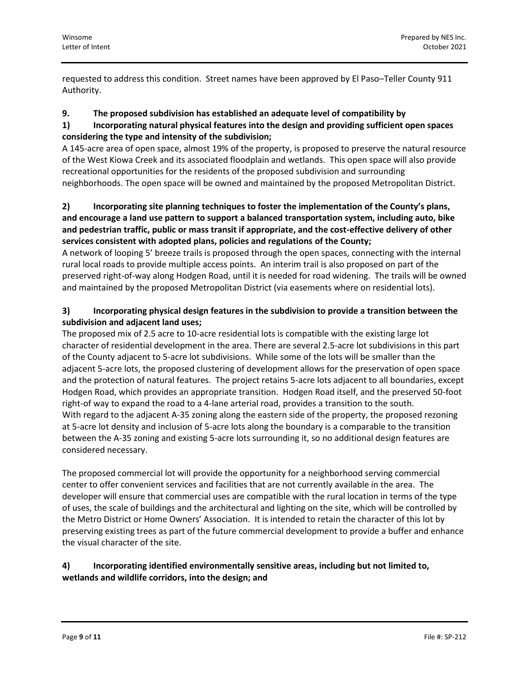requested to address this condition. Street names have been approved by El Paso–Teller County 911 Authority.

### **9. The proposed subdivision has established an adequate level of compatibility by**

## **1) Incorporating natural physical features into the design and providing sufficient open spaces considering the type and intensity of the subdivision;**

A 145-acre area of open space, almost 19% of the property, is proposed to preserve the natural resource of the West Kiowa Creek and its associated floodplain and wetlands. This open space will also provide recreational opportunities for the residents of the proposed subdivision and surrounding neighborhoods. The open space will be owned and maintained by the proposed Metropolitan District.

## **2) Incorporating site planning techniques to foster the implementation of the County's plans, and encourage a land use pattern to support a balanced transportation system, including auto, bike and pedestrian traffic, public or mass transit if appropriate, and the cost-effective delivery of other services consistent with adopted plans, policies and regulations of the County;**

A network of looping 5' breeze trails is proposed through the open spaces, connecting with the internal rural local roads to provide multiple access points. An interim trail is also proposed on part of the preserved right-of-way along Hodgen Road, until it is needed for road widening. The trails will be owned and maintained by the proposed Metropolitan District (via easements where on residential lots).

## **3) Incorporating physical design features in the subdivision to provide a transition between the subdivision and adjacent land uses;**

The proposed mix of 2.5 acre to 10-acre residential lots is compatible with the existing large lot character of residential development in the area. There are several 2.5-acre lot subdivisions in this part of the County adjacent to 5-acre lot subdivisions. While some of the lots will be smaller than the adjacent 5-acre lots, the proposed clustering of development allows for the preservation of open space and the protection of natural features. The project retains 5-acre lots adjacent to all boundaries, except Hodgen Road, which provides an appropriate transition. Hodgen Road itself, and the preserved 50-foot right-of way to expand the road to a 4-lane arterial road, provides a transition to the south. With regard to the adjacent A-35 zoning along the eastern side of the property, the proposed rezoning at 5-acre lot density and inclusion of 5-acre lots along the boundary is a comparable to the transition between the A-35 zoning and existing 5-acre lots surrounding it, so no additional design features are considered necessary.

The proposed commercial lot will provide the opportunity for a neighborhood serving commercial center to offer convenient services and facilities that are not currently available in the area. The developer will ensure that commercial uses are compatible with the rural location in terms of the type of uses, the scale of buildings and the architectural and lighting on the site, which will be controlled by the Metro District or Home Owners' Association. It is intended to retain the character of this lot by preserving existing trees as part of the future commercial development to provide a buffer and enhance the visual character of the site.

## **4) Incorporating identified environmentally sensitive areas, including but not limited to, wetlands and wildlife corridors, into the design; and**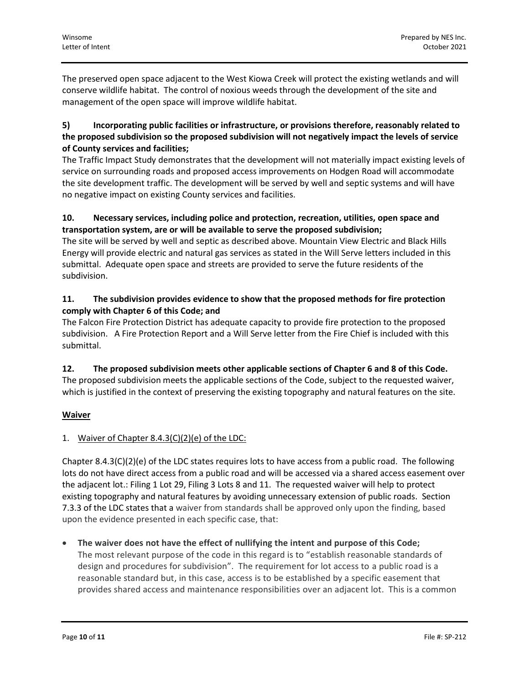The preserved open space adjacent to the West Kiowa Creek will protect the existing wetlands and will conserve wildlife habitat. The control of noxious weeds through the development of the site and management of the open space will improve wildlife habitat.

### **5) Incorporating public facilities or infrastructure, or provisions therefore, reasonably related to the proposed subdivision so the proposed subdivision will not negatively impact the levels of service of County services and facilities;**

The Traffic Impact Study demonstrates that the development will not materially impact existing levels of service on surrounding roads and proposed access improvements on Hodgen Road will accommodate the site development traffic. The development will be served by well and septic systems and will have no negative impact on existing County services and facilities.

## **10. Necessary services, including police and protection, recreation, utilities, open space and transportation system, are or will be available to serve the proposed subdivision;**

The site will be served by well and septic as described above. Mountain View Electric and Black Hills Energy will provide electric and natural gas services as stated in the Will Serve letters included in this submittal. Adequate open space and streets are provided to serve the future residents of the subdivision.

## **11. The subdivision provides evidence to show that the proposed methods for fire protection comply with Chapter 6 of this Code; and**

The Falcon Fire Protection District has adequate capacity to provide fire protection to the proposed subdivision. A Fire Protection Report and a Will Serve letter from the Fire Chief is included with this submittal.

# **12. The proposed subdivision meets other applicable sections of Chapter 6 and 8 of this Code.**

The proposed subdivision meets the applicable sections of the Code, subject to the requested waiver, which is justified in the context of preserving the existing topography and natural features on the site.

# **Waiver**

## 1. Waiver of Chapter 8.4.3(C)(2)(e) of the LDC:

Chapter 8.4.3(C)(2)(e) of the LDC states requires lots to have access from a public road. The following lots do not have direct access from a public road and will be accessed via a shared access easement over the adjacent lot.: Filing 1 Lot 29, Filing 3 Lots 8 and 11. The requested waiver will help to protect existing topography and natural features by avoiding unnecessary extension of public roads. Section 7.3.3 of the LDC states that a waiver from standards shall be approved only upon the finding, based upon the evidence presented in each specific case, that:

• **The waiver does not have the effect of nullifying the intent and purpose of this Code;**  The most relevant purpose of the code in this regard is to "establish reasonable standards of design and procedures for subdivision". The requirement for lot access to a public road is a reasonable standard but, in this case, access is to be established by a specific easement that provides shared access and maintenance responsibilities over an adjacent lot. This is a common